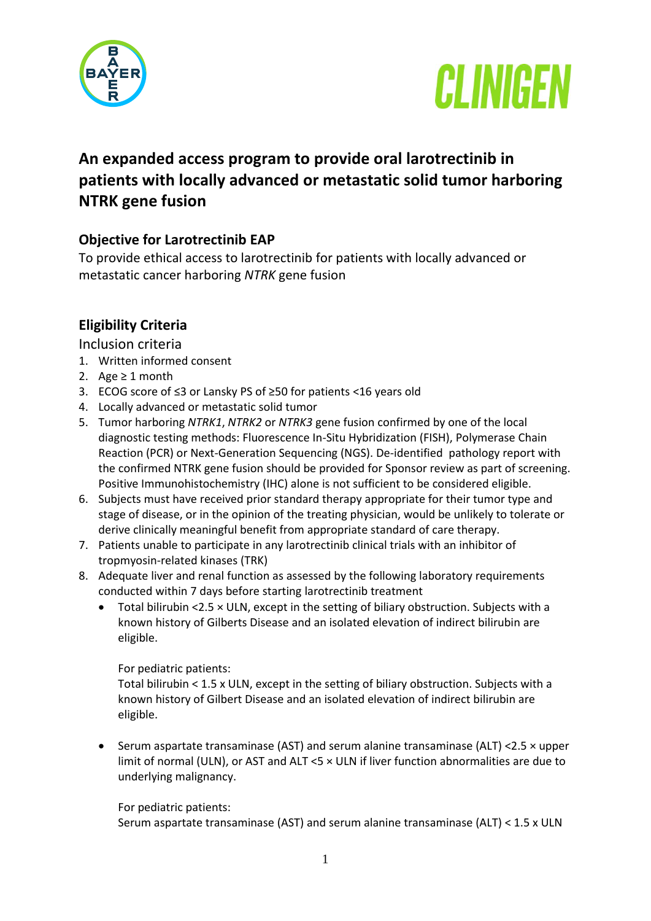



# **An expanded access program to provide oral larotrectinib in patients with locally advanced or metastatic solid tumor harboring NTRK gene fusion**

## **Objective for Larotrectinib EAP**

To provide ethical access to larotrectinib for patients with locally advanced or metastatic cancer harboring *NTRK* gene fusion

## **Eligibility Criteria**

Inclusion criteria

- 1. Written informed consent
- 2. Age  $\geq 1$  month
- 3. ECOG score of ≤3 or Lansky PS of ≥50 for patients <16 years old
- 4. Locally advanced or metastatic solid tumor
- 5. Tumor harboring *NTRK1*, *NTRK2* or *NTRK3* gene fusion confirmed by one of the local diagnostic testing methods: Fluorescence In-Situ Hybridization (FISH), Polymerase Chain Reaction (PCR) or Next-Generation Sequencing (NGS). De-identified pathology report with the confirmed NTRK gene fusion should be provided for Sponsor review as part of screening. Positive Immunohistochemistry (IHC) alone is not sufficient to be considered eligible.
- 6. Subjects must have received prior standard therapy appropriate for their tumor type and stage of disease, or in the opinion of the treating physician, would be unlikely to tolerate or derive clinically meaningful benefit from appropriate standard of care therapy.
- 7. Patients unable to participate in any larotrectinib clinical trials with an inhibitor of tropmyosin-related kinases (TRK)
- 8. Adequate liver and renal function as assessed by the following laboratory requirements conducted within 7 days before starting larotrectinib treatment
	- $\bullet$  Total bilirubin <2.5  $\times$  ULN, except in the setting of biliary obstruction. Subjects with a known history of Gilberts Disease and an isolated elevation of indirect bilirubin are eligible.

For pediatric patients:

Total bilirubin < 1.5 x ULN, except in the setting of biliary obstruction. Subjects with a known history of Gilbert Disease and an isolated elevation of indirect bilirubin are eligible.

 Serum aspartate transaminase (AST) and serum alanine transaminase (ALT) <2.5 × upper limit of normal (ULN), or AST and ALT <5 × ULN if liver function abnormalities are due to underlying malignancy.

For pediatric patients:

Serum aspartate transaminase (AST) and serum alanine transaminase (ALT) < 1.5 x ULN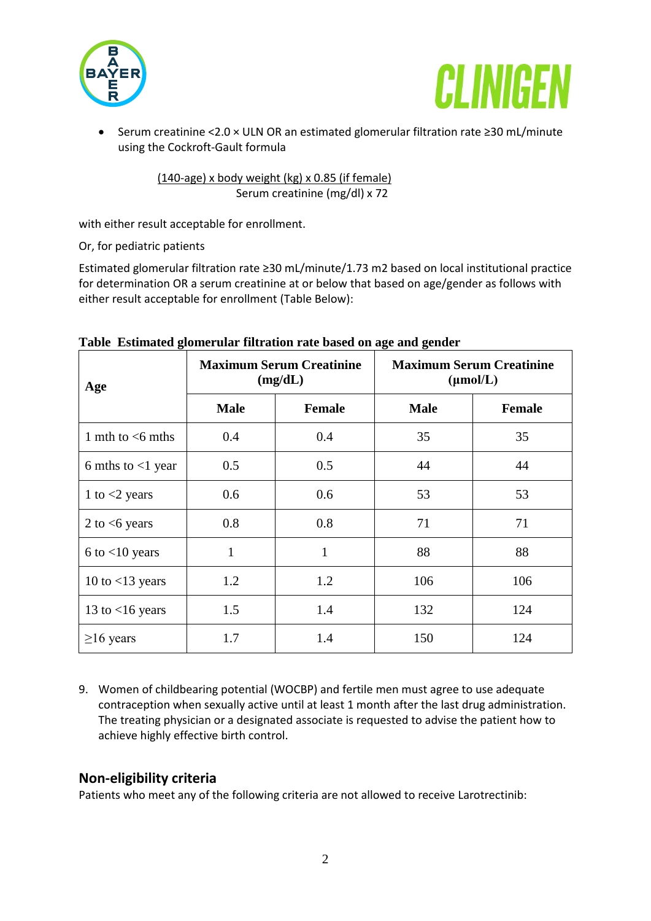



 Serum creatinine <2.0 × ULN OR an estimated glomerular filtration rate ≥30 mL/minute using the Cockroft-Gault formula

> (140-age) x body weight (kg) x 0.85 (if female) Serum creatinine (mg/dl) x 72

with either result acceptable for enrollment.

Or, for pediatric patients

Estimated glomerular filtration rate ≥30 mL/minute/1.73 m2 based on local institutional practice for determination OR a serum creatinine at or below that based on age/gender as follows with either result acceptable for enrollment (Table Below):

| Age                  | <b>Maximum Serum Creatinine</b><br>(mg/dL) |               | <b>Maximum Serum Creatinine</b><br>$(\mu \text{mol/L})$ |               |
|----------------------|--------------------------------------------|---------------|---------------------------------------------------------|---------------|
|                      | <b>Male</b>                                | <b>Female</b> | <b>Male</b>                                             | <b>Female</b> |
| 1 mth to $<$ 6 mths  | 0.4                                        | 0.4           | 35                                                      | 35            |
| 6 mths to $<$ 1 year | 0.5                                        | 0.5           | 44                                                      | 44            |
| 1 to $<$ 2 years     | 0.6                                        | 0.6           | 53                                                      | 53            |
| 2 to $<6$ years      | 0.8                                        | 0.8           | 71                                                      | 71            |
| $6$ to $<$ 10 years  | 1                                          | $\mathbf{1}$  | 88                                                      | 88            |
| 10 to $<$ 13 years   | 1.2                                        | 1.2           | 106                                                     | 106           |
| 13 to $<$ 16 years   | 1.5                                        | 1.4           | 132                                                     | 124           |
| $\geq$ 16 years      | 1.7                                        | 1.4           | 150                                                     | 124           |

#### **Table Estimated glomerular filtration rate based on age and gender**

9. Women of childbearing potential (WOCBP) and fertile men must agree to use adequate contraception when sexually active until at least 1 month after the last drug administration. The treating physician or a designated associate is requested to advise the patient how to achieve highly effective birth control.

### **Non-eligibility criteria**

Patients who meet any of the following criteria are not allowed to receive Larotrectinib: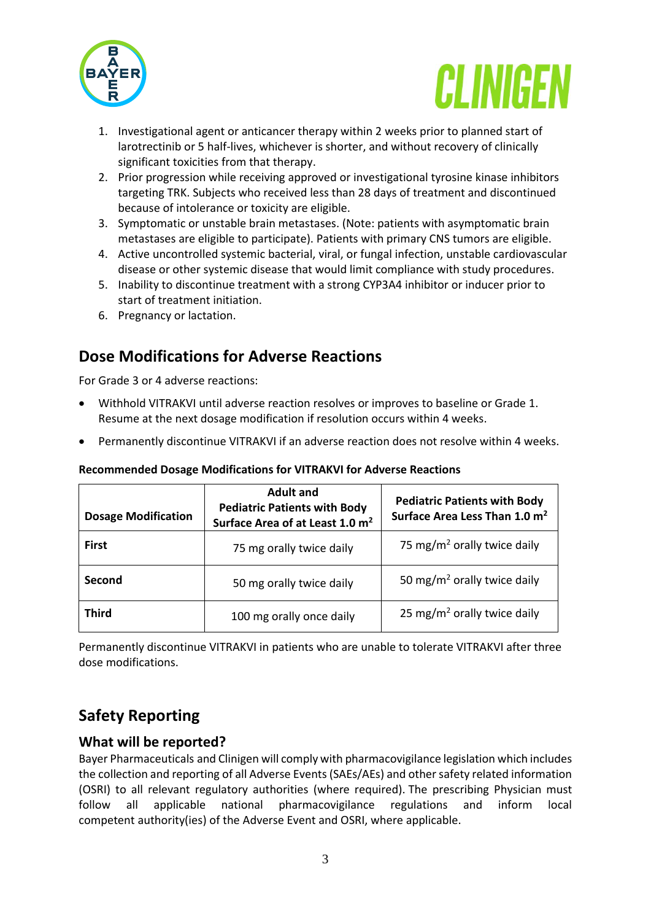



- 1. Investigational agent or anticancer therapy within 2 weeks prior to planned start of larotrectinib or 5 half-lives, whichever is shorter, and without recovery of clinically significant toxicities from that therapy.
- 2. Prior progression while receiving approved or investigational tyrosine kinase inhibitors targeting TRK. Subjects who received less than 28 days of treatment and discontinued because of intolerance or toxicity are eligible.
- 3. Symptomatic or unstable brain metastases. (Note: patients with asymptomatic brain metastases are eligible to participate). Patients with primary CNS tumors are eligible.
- 4. Active uncontrolled systemic bacterial, viral, or fungal infection, unstable cardiovascular disease or other systemic disease that would limit compliance with study procedures.
- 5. Inability to discontinue treatment with a strong CYP3A4 inhibitor or inducer prior to start of treatment initiation.
- 6. Pregnancy or lactation.

# **Dose Modifications for Adverse Reactions**

For Grade 3 or 4 adverse reactions:

- Withhold VITRAKVI until adverse reaction resolves or improves to baseline or Grade 1. Resume at the next dosage modification if resolution occurs within 4 weeks.
- Permanently discontinue VITRAKVI if an adverse reaction does not resolve within 4 weeks.

| <b>Dosage Modification</b> | <b>Adult and</b><br><b>Pediatric Patients with Body</b><br>Surface Area of at Least 1.0 m <sup>2</sup> | <b>Pediatric Patients with Body</b><br>Surface Area Less Than 1.0 m <sup>2</sup> |
|----------------------------|--------------------------------------------------------------------------------------------------------|----------------------------------------------------------------------------------|
| <b>First</b>               | 75 mg orally twice daily                                                                               | 75 mg/m <sup>2</sup> orally twice daily                                          |
| Second                     | 50 mg orally twice daily                                                                               | 50 mg/m <sup>2</sup> orally twice daily                                          |
| <b>Third</b>               | 100 mg orally once daily                                                                               | 25 mg/m <sup>2</sup> orally twice daily                                          |

#### **Recommended Dosage Modifications for VITRAKVI for Adverse Reactions**

Permanently discontinue VITRAKVI in patients who are unable to tolerate VITRAKVI after three dose modifications.

# **Safety Reporting**

### **What will be reported?**

Bayer Pharmaceuticals and Clinigen will comply with pharmacovigilance legislation which includes the collection and reporting of all Adverse Events (SAEs/AEs) and other safety related information (OSRI) to all relevant regulatory authorities (where required). The prescribing Physician must follow all applicable national pharmacovigilance regulations and inform local competent authority(ies) of the Adverse Event and OSRI, where applicable.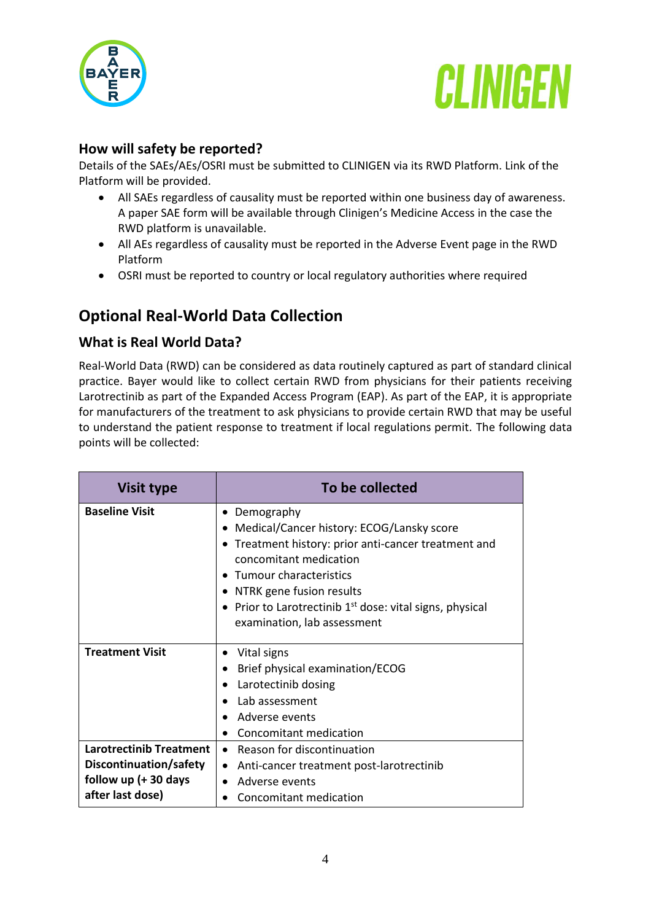



### **How will safety be reported?**

Details of the SAEs/AEs/OSRI must be submitted to CLINIGEN via its RWD Platform. Link of the Platform will be provided.

- All SAEs regardless of causality must be reported within one business day of awareness. A paper SAE form will be available through Clinigen's Medicine Access in the case the RWD platform is unavailable.
- All AEs regardless of causality must be reported in the Adverse Event page in the RWD Platform
- OSRI must be reported to country or local regulatory authorities where required

## **Optional Real-World Data Collection**

#### **What is Real World Data?**

Real-World Data (RWD) can be considered as data routinely captured as part of standard clinical practice. Bayer would like to collect certain RWD from physicians for their patients receiving Larotrectinib as part of the Expanded Access Program (EAP). As part of the EAP, it is appropriate for manufacturers of the treatment to ask physicians to provide certain RWD that may be useful to understand the patient response to treatment if local regulations permit. The following data points will be collected:

| <b>Visit type</b>                                                                                      | To be collected                                                                                                                                                                                                                                                                                           |
|--------------------------------------------------------------------------------------------------------|-----------------------------------------------------------------------------------------------------------------------------------------------------------------------------------------------------------------------------------------------------------------------------------------------------------|
| <b>Baseline Visit</b>                                                                                  | Demography<br>Medical/Cancer history: ECOG/Lansky score<br>$\bullet$<br>Treatment history: prior anti-cancer treatment and<br>concomitant medication<br>Tumour characteristics<br>• NTRK gene fusion results<br>• Prior to Larotrectinib $1st$ dose: vital signs, physical<br>examination, lab assessment |
| <b>Treatment Visit</b>                                                                                 | Vital signs<br>٠<br>Brief physical examination/ECOG<br>$\bullet$<br>Larotectinib dosing<br>$\bullet$<br>Lab assessment<br>Adverse events<br>Concomitant medication                                                                                                                                        |
| <b>Larotrectinib Treatment</b><br>Discontinuation/safety<br>follow up $(+ 30$ days<br>after last dose) | Reason for discontinuation<br>$\bullet$<br>Anti-cancer treatment post-larotrectinib<br>$\bullet$<br>Adverse events<br>$\bullet$<br>Concomitant medication                                                                                                                                                 |